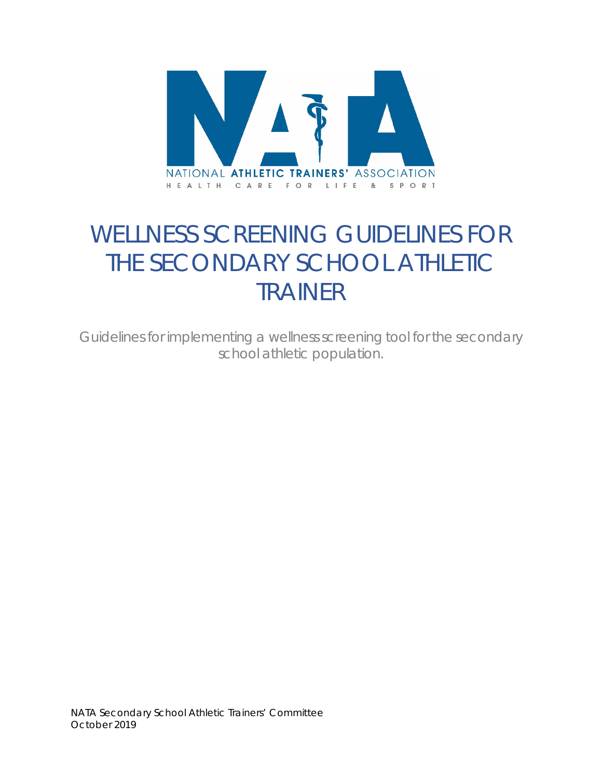

# WELLNESS SCREENING GUIDELINES FOR THE SECONDARY SCHOOL ATHLETIC TRAINER

*Guidelines for implementing a wellness screening tool for the secondary school athletic population.*

NATA Secondary School Athletic Trainers' Committee October 2019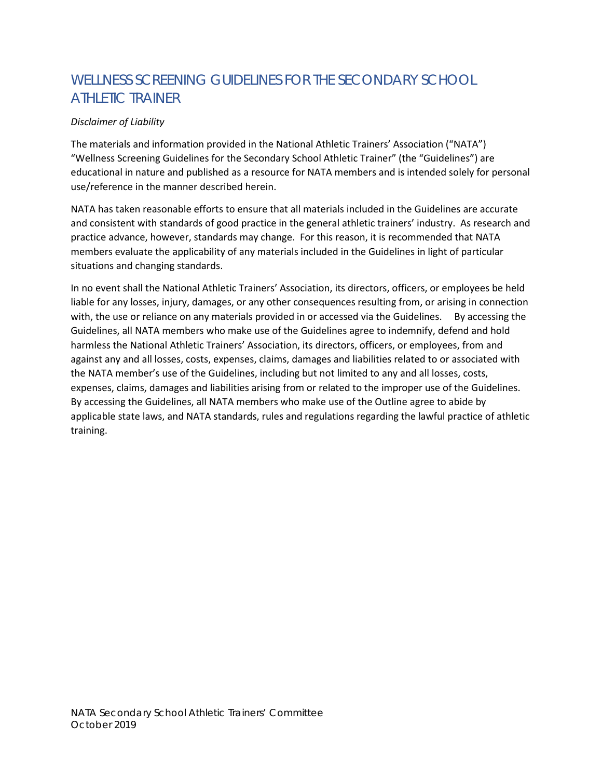# WELLNESS SCREENING GUIDELINES FOR THE SECONDARY SCHOOL ATHLETIC TRAINER

#### *Disclaimer of Liability*

The materials and information provided in the National Athletic Trainers' Association ("NATA") "Wellness Screening Guidelines for the Secondary School Athletic Trainer" (the "Guidelines") are educational in nature and published as a resource for NATA members and is intended solely for personal use/reference in the manner described herein.

NATA has taken reasonable efforts to ensure that all materials included in the Guidelines are accurate and consistent with standards of good practice in the general athletic trainers' industry. As research and practice advance, however, standards may change. For this reason, it is recommended that NATA members evaluate the applicability of any materials included in the Guidelines in light of particular situations and changing standards.

In no event shall the National Athletic Trainers' Association, its directors, officers, or employees be held liable for any losses, injury, damages, or any other consequences resulting from, or arising in connection with, the use or reliance on any materials provided in or accessed via the Guidelines. By accessing the Guidelines, all NATA members who make use of the Guidelines agree to indemnify, defend and hold harmless the National Athletic Trainers' Association, its directors, officers, or employees, from and against any and all losses, costs, expenses, claims, damages and liabilities related to or associated with the NATA member's use of the Guidelines, including but not limited to any and all losses, costs, expenses, claims, damages and liabilities arising from or related to the improper use of the Guidelines. By accessing the Guidelines, all NATA members who make use of the Outline agree to abide by applicable state laws, and NATA standards, rules and regulations regarding the lawful practice of athletic training.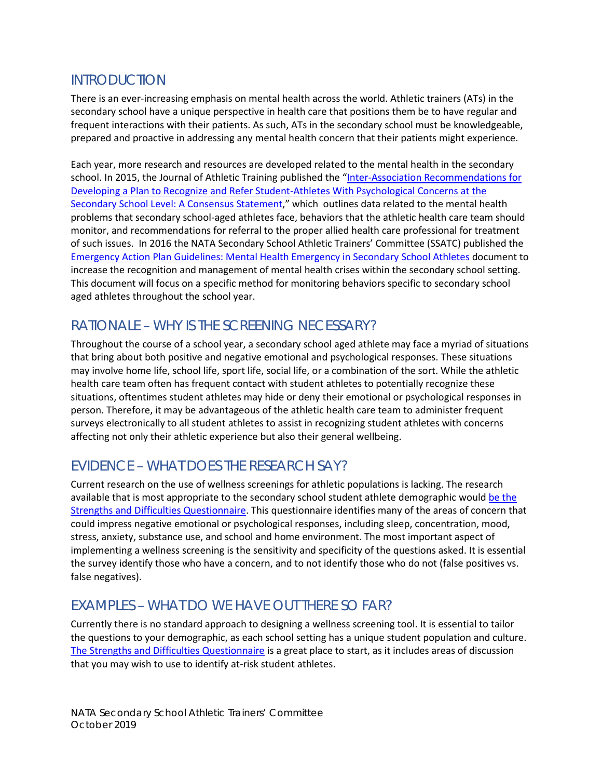#### INTRODUCTION

There is an ever-increasing emphasis on mental health across the world. Athletic trainers (ATs) in the secondary school have a unique perspective in health care that positions them be to have regular and frequent interactions with their patients. As such, ATs in the secondary school must be knowledgeable, prepared and proactive in addressing any mental health concern that their patients might experience.

Each year, more research and resources are developed related to the mental health in the secondary school. In 2015, the Journal of Athletic Training published the "Inter-Association Recommendations for [Developing a Plan to Recognize and Refer Student-Athletes With Psychological Concerns at the](https://natajournals.org/doi/full/10.4085/1062-6050-50.3.03)  [Secondary School Level: A Consensus Statement,](https://natajournals.org/doi/full/10.4085/1062-6050-50.3.03)" which outlines data related to the mental health problems that secondary school-aged athletes face, behaviors that the athletic health care team should monitor, and recommendations for referral to the proper allied health care professional for treatment of such issues. In 2016 the NATA Secondary School Athletic Trainers' Committee (SSATC) published the [Emergency Action Plan Guidelines: Mental Health Emergency in Secondary School Athletes](https://www.nata.org/sites/default/files/mental_health_eap_guidelines.pdf) document to increase the recognition and management of mental health crises within the secondary school setting. This document will focus on a specific method for monitoring behaviors specific to secondary school aged athletes throughout the school year.

## RATIONALE – WHY IS THE SCREENING NECESSARY?

Throughout the course of a school year, a secondary school aged athlete may face a myriad of situations that bring about both positive and negative emotional and psychological responses. These situations may involve home life, school life, sport life, social life, or a combination of the sort. While the athletic health care team often has frequent contact with student athletes to potentially recognize these situations, oftentimes student athletes may hide or deny their emotional or psychological responses in person. Therefore, it may be advantageous of the athletic health care team to administer frequent surveys electronically to all student athletes to assist in recognizing student athletes with concerns affecting not only their athletic experience but also their general wellbeing.

# EVIDENCE – WHAT DOES THE RESEARCH SAY?

Current research on the use of wellness screenings for athletic populations is lacking. The research available that is most appropriate to the secondary school student athlete demographic would be the [Strengths and Difficulties Questionnaire.](http://www.sdqinfo.org/a0.html) This questionnaire identifies many of the areas of concern that could impress negative emotional or psychological responses, including sleep, concentration, mood, stress, anxiety, substance use, and school and home environment. The most important aspect of implementing a wellness screening is the sensitivity and specificity of the questions asked. It is essential the survey identify those who have a concern, and to not identify those who do not (false positives vs. false negatives).

### EXAMPLES – WHAT DO WE HAVE OUT THERE SO FAR?

Currently there is no standard approach to designing a wellness screening tool. It is essential to tailor the questions to your demographic, as each school setting has a unique student population and culture. The Strengths [and Difficulties Questionnaire](http://www.sdqinfo.org/a0.html) is a great place to start, as it includes areas of discussion that you may wish to use to identify at-risk student athletes.